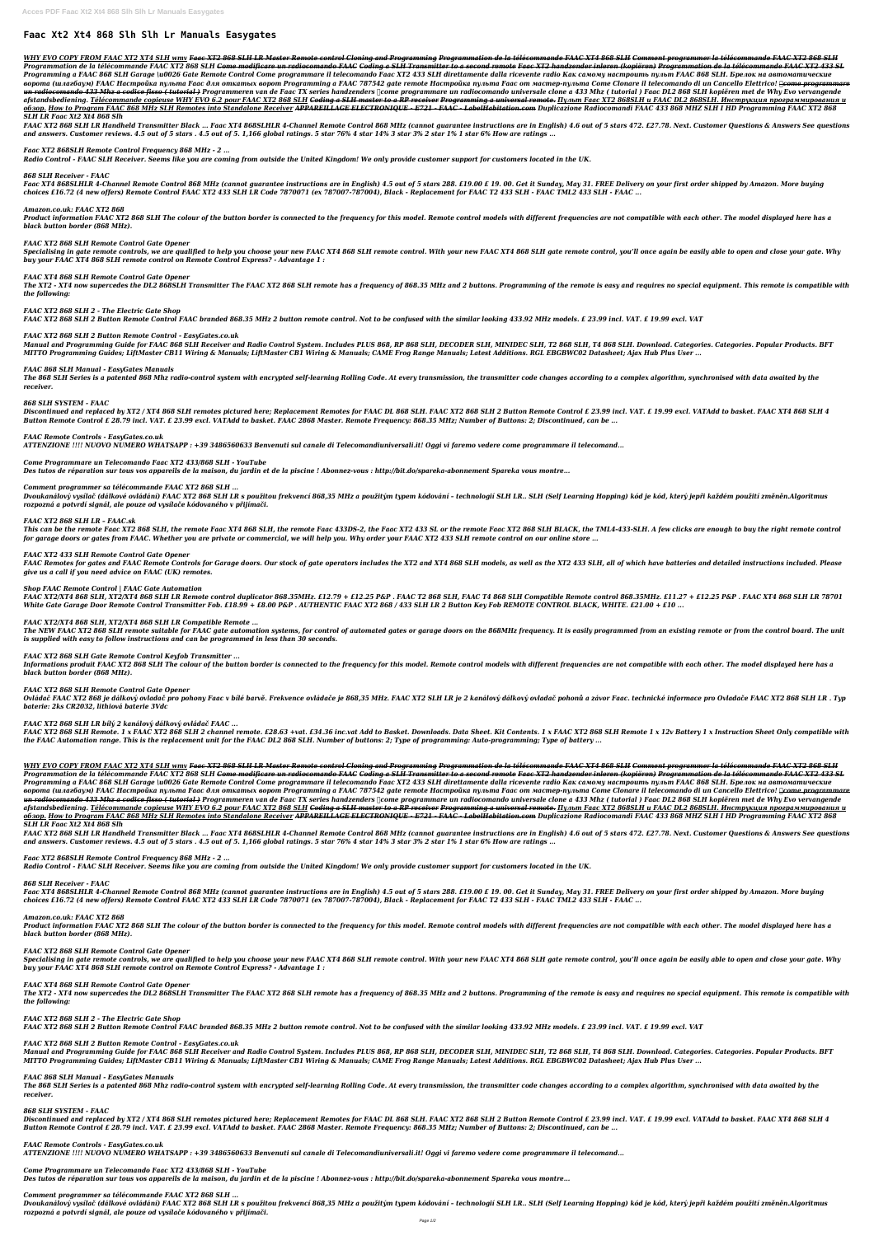# **Faac Xt2 Xt4 868 Slh Slh Lr Manuals Easygates**

<u>WHY EVO COPY FROM FAAC XT2 XT4 SLH wmv</u> Faac XT2 868 SLH LR Master Remote control Cloning and Programmation de la télécommande FAAC XT4 868 SLH Comment programmer la télécommande FAAC XT2 868 SLH</u> Programmation de la télécommande FAAC XT2 868 SLH <del>Come modificare un radiocomando FAAC Coding a SLH Transmitter to a second remote Faac XT2 handzender inleren (kopiëren) Programmation de la télécommande FAAC XT2 433 SL</del> Programming a FAAC 868 SLH Garage \u0026 Gate Remote Control Come programmare il telecomando Faac XT2 433 SLH direttamente dalla ricevente radio Как самому настроить пульт FAAC 868 SLH. Брелок на автоматические ворота (шлагбаум) FAAC Настройка пульта Faac для откатых ворот Programming а FAAC 787542 gate remote Hacmpoйка пульта Faac от мастер-пульта Come Clonare il telecomando di un Cancello Elettrico! <del>∏come programmare</del> <del>un radiocomando 433 Mhz a codice fisso ( tutorial )</del> Programmeren van de Faac TX series handzenders ∏come programmare un radiocomando universale clone a 433 Mhz ( tutorial ) Faac DL2 868 SLH kopiëren met de Why Evo verva afstandsbediening. <u>Télécommande copieuse WHY EVO 6.2 pour FAAC XT2 868 SLH <del>Coding a SLH master to a RP receiver Programming a universal remote.</del> <u>Пульт Faac XT2 868SLH и FAAC DL2 868SLH. Инструкция программирования и</u></u> <u>oбзор. How to Program FAAC 868 MHz SLH Remotes into Standalone Receiver APPAREILLAGE ELECTRONIQUE - E721 - FAAC - LabelHabitation.com Duplicazione Radiocomandi FAAC 433 868 MHZ SLH I HD Programming FAAC XT2 868</u> *SLH LR Faac Xt2 Xt4 868 Slh*

FAAC XT2 868 SLH LR Handheld Transmitter Black ... Faac XT4 868SLHLR 4-Channel Remote Control 868 MHz (cannot guarantee instructions are in English) 4.6 out of 5 stars 472. £27.78. Next. Customer Questions & Answers See qu *and answers. Customer reviews. 4.5 out of 5 stars . 4.5 out of 5. 1,166 global ratings. 5 star 76% 4 star 14% 3 star 3% 2 star 1% 1 star 6% How are ratings ...*

Faac XT4 868SLHLR 4-Channel Remote Control 868 MHz (cannot guarantee instructions are in English) 4.5 out of 5 stars 288. £19.00 £ 19. 00. Get it Sunday, May 31. FREE Delivery on your first order shipped by Amazon. More bu *choices £16.72 (4 new offers) Remote Control FAAC XT2 433 SLH LR Code 7870071 (ex 787007-787004), Black - Replacement for FAAC T2 433 SLH - FAAC TML2 433 SLH - FAAC ...*

Product information FAAC XT2 868 SLH The colour of the button border is connected to the frequency for this model. Remote control models with different frequencies are not compatible with each other. The model displayed he *black button border (868 MHz).*

Specialising in gate remote controls, we are qualified to help you choose your new FAAC XT4 868 SLH gate remote control and control, you'll once again be easily able to open and close your gate. Why *buy your FAAC XT4 868 SLH remote control on Remote Control Express? - Advantage 1 :*

The XT2 - XT4 now supercedes the DL2 868SLH Transmitter The FAAC XT2 868 SLH remote has a frequency of 868.35 MHz and 2 buttons. Programming of the remote is easy and requires no special equipment. This remote is compatibl *the following:*

#### *Faac XT2 868SLH Remote Control Frequency 868 MHz - 2 ...*

*Radio Control - FAAC SLH Receiver. Seems like you are coming from outside the United Kingdom! We only provide customer support for customers located in the UK.*

#### *868 SLH Receiver - FAAC*

The 868 SLH Series is a patented 868 Mhz radio-control system with encrypted self-learning Rolling Code. At every transmission, the transmitter code changes according to a complex algorithm, synchronised with data awaited *receiver.*

Discontinued and replaced by XT2 / XT4 868 SLH remotes pictured here; Replacement Remotes for FAAC DL 868 SLH. FAAC XT2 868 SLH 2 Button Remote Control £ 23.99 incl. VAT. £ 19.99 excl. VATAdd to basket. FAAC XT4 868 SLH 4 *Button Remote Control £ 28.79 incl. VAT. £ 23.99 excl. VATAdd to basket. FAAC 2868 Master. Remote Frequency: 868.35 MHz; Number of Buttons: 2; Discontinued, can be ...*

#### *Amazon.co.uk: FAAC XT2 868*

Dvoukanálový vysílač (dálkové ovládání) FAAC XT2 868 SLH LR s použitou frekvencí 868,35 MHz a použitým typem kódování - technologií SLH LR.. SLH (Self Learning Hopping) kód je kód, který jepři každém použití změněn.Algorit *rozpozná a potvrdí signál, ale pouze od vysílače kódovaného v přijímači.*

## *FAAC XT2 868 SLH Remote Control Gate Opener*

This can be the remote Faac XT2 868 SLH, the remote Faac XT4 868 SLH, the remote Faac 433DS-2, the Faac XT2 433 SL or the remote Faac XT2 868 SLH BLACK, the TML4-433-SLH. A few clicks are enough to buy the right remote con *for garage doors or gates from FAAC. Whether you are private or commercial, we will help you. Why order your FAAC XT2 433 SLH remote control on our online store ...*

FAAC Remotes for gates and FAAC Remote Controls for Garage doors. Our stock of gate operators includes the XT2 and XT4 868 SLH models, as well as the XT2 433 SLH, all of which have batteries and detailed instructions inclu *give us a call if you need advice on FAAC (UK) remotes.*

## *FAAC XT4 868 SLH Remote Control Gate Opener*

## *FAAC XT2 868 SLH 2 - The Electric Gate Shop*

The NEW FAAC XT2 868 SLH remote suitable for FAAC gate automation systems, for control of automated gates or garage doors on the 868MHz frequency. It is easily programmed from an existing remote or from the control board. *is supplied with easy to follow instructions and can be programmed in less than 30 seconds.*

*FAAC XT2 868 SLH 2 Button Remote Control FAAC branded 868.35 MHz 2 button remote control. Not to be confused with the similar looking 433.92 MHz models. £ 23.99 incl. VAT. £ 19.99 excl. VAT*

Informations produit FAAC XT2 868 SLH The colour of the button border is connected to the frequency for this model. Remote control models with different frequencies are not compatible with each other. The model displayed h *black button border (868 MHz).*

## *FAAC XT2 868 SLH 2 Button Remote Control - EasyGates.co.uk*

Ovládač FAAC XT2 868 je dálkový ovladač pro pohony Faac v bílé barvě. Frekvence ovládače je 868,35 MHz. FAAC XT2 SLH LR je 2 kanálový dálkový ovladač pohonů a závor Faac. technické informace pro Ovladače FAAC XT2 868 SLH L *baterie: 2ks CR2032, lithiová baterie 3Vdc*

*Manual and Programming Guide for FAAC 868 SLH Receiver and Radio Control System. Includes PLUS 868, RP 868 SLH, DECODER SLH, MINIDEC SLH, T2 868 SLH, T4 868 SLH. Download. Categories. Categories. Popular Products. BFT MITTO Programming Guides; LiftMaster CB11 Wiring & Manuals; LiftMaster CB1 Wiring & Manuals; CAME Frog Range Manuals; Latest Additions. RGL EBGBWC02 Datasheet; Ajax Hub Plus User ...*

FAAC XT2 868 SLH Remote. 1 x FAAC XT2 868 SLH 2 channel remote. £28.63 +vat. £34.36 inc.vat Add to Basket. Downloads. Data Sheet. Kit Contents. 1 x FAAC XT2 868 SLH Remote 1 x 12v Battery 1 x Instruction Sheet Only compati *the FAAC Automation range. This is the replacement unit for the FAAC DL2 868 SLH. Number of buttons: 2; Type of programming: Auto-programming; Type of battery ...*

## *FAAC 868 SLH Manual - EasyGates Manuals*

#### *868 SLH SYSTEM - FAAC*

<u>WHY EVO COPY FROM FAAC XT2 XT4 SLH wmv</u> Faac XT2 868 SLH LR Master Remote control Cloning and Programmation de la télécommande FAAC XT4 868 SLH Comment programmer la télécommande FAAC XT2 868 SLH</u> Programmation de la télécommande FAAC XT2 868 SLH <del>Come modificare un radiocomando FAAC Coding a SLH Transmitter to a second remote Faac XT2 handzender inleren (kopiëren) Programmation de la télécommande FAAC XT2 433 SL</del> Programming a FAAC 868 SLH Garage \u0026 Gate Remote Control Come programmare il telecomando Faac XT2 433 SLH direttamente dalla ricevente radio Kak самому настроить пульт FAAC 868 SLH. Брелок на автоматические ворота (шлагбаум) FAAC Настройка пульта Faac для откатых ворот Programming a FAAC 787542 gate remote Hacmpoйка пульта Faac от мастер-пульта Come Clonare il telecomando di un Cancello Elettrico! <del>| come programmare</del> un radiocomando 433 Mhz a codice fisso (tutorial) Programmeren van de Faac TX series handzenders ∏come programmare un radiocomando universale clone a 433 Mhz (tutorial) Faac DL2 868 SLH kopiëren met de Why Evo vervangende afstandsbediening. Télécommande copieuse WHY EVO 6.2 pour FAAC XT2 868 SLH <del>Coding a SLH master to a RP receiver Programming a universal remote.</del> Пульт Faac XT2 868SLH и FAAC DL2 868SLH. Инструкция программирования и 0630p. How to Program FAAC 868 MHz SLH Remotes into Standalone Receiver APPAREILLAGE ELECTRONIQUE - E721 - FAAC - LabelHabitation.com Duplicazione Radiocomandi FAAC 433 868 MHZ SLH I HD Programming FAAC XT2 868 *SLH LR Faac Xt2 Xt4 868 Slh*

## *FAAC Remote Controls - EasyGates.co.uk*

*ATTENZIONE !!!! NUOVO NUMERO WHATSAPP : +39 3486560633 Benvenuti sul canale di Telecomandiuniversali.it! Oggi vi faremo vedere come programmare il telecomand...*

FAAC XT2 868 SLH LR Handheld Transmitter Black ... Faac XT4 868SLHLR 4-Channel Remote Control 868 MHz (cannot guarantee instructions are in English) 4.6 out of 5 stars 472. £27.78. Next. Customer Questions & Answers See qu *and answers. Customer reviews. 4.5 out of 5 stars . 4.5 out of 5. 1,166 global ratings. 5 star 76% 4 star 14% 3 star 3% 2 star 1% 1 star 6% How are ratings ...*

#### *Come Programmare un Telecomando Faac XT2 433/868 SLH - YouTube*

*Des tutos de réparation sur tous vos appareils de la maison, du jardin et de la piscine ! Abonnez-vous : http://bit.do/spareka-abonnement Spareka vous montre...*

#### *Comment programmer sa télécommande FAAC XT2 868 SLH ...*

Faac XT4 868SLHLR 4-Channel Remote Control 868 MHz (cannot guarantee instructions are in English) 4.5 out of 5 stars 288. £19.00 £ 19. 00. Get it Sunday, May 31. FREE Delivery on your first order shipped by Amazon. More bu *choices £16.72 (4 new offers) Remote Control FAAC XT2 433 SLH LR Code 7870071 (ex 787007-787004), Black - Replacement for FAAC T2 433 SLH - FAAC TML2 433 SLH - FAAC ...*

## *FAAC XT2 868 SLH LR – FAAC.sk*

Specialising in gate remote controls, we are qualified to help you choose your new FAAC XT4 868 SLH your new FAAC XT4 868 SLH gate remote control, you'll once again be easily able to open and close your gate. Why *buy your FAAC XT4 868 SLH remote control on Remote Control Express? - Advantage 1 :*

The XT2 - XT4 now supercedes the DL2 868SLH Transmitter The FAAC XT2 868 SLH remote has a frequency of 868.35 MHz and 2 buttons. Programming of the remote is easy and requires no special equipment. This remote is compatibl *the following:*

#### *FAAC XT2 433 SLH Remote Control Gate Opener*

The 868 SLH Series is a patented 868 Mhz radio-control system with encrypted self-learning Rolling Code. At every transmission, the transmitter code changes according to a complex algorithm, synchronised with data awaited *receiver.*

## *Shop FAAC Remote Control | FAAC Gate Automation*

Discontinued and replaced by XT2 / XT4 868 SLH remotes pictured here; Replacement Remotes for FAAC DL 868 SLH. FAAC XT2 868 SLH 2 Button Remote Control £ 23.99 incl. VAT. £ 19.99 excl. VATAdd to basket. FAAC XT4 868 SLH 4 *Button Remote Control £ 28.79 incl. VAT. £ 23.99 excl. VATAdd to basket. FAAC 2868 Master. Remote Frequency: 868.35 MHz; Number of Buttons: 2; Discontinued, can be ...*

*FAAC XT2/XT4 868 SLH, XT2/XT4 868 SLH LR Remote control duplicator 868.35MHz. £12.79 + £12.25 P&P . FAAC T2 868 SLH, FAAC T4 868 SLH Compatible Remote control 868.35MHz. £11.27 + £12.25 P&P . FAAC XT4 868 SLH LR 78701 White Gate Garage Door Remote Control Transmitter Fob. £18.99 + £8.00 P&P . AUTHENTIC FAAC XT2 868 / 433 SLH LR 2 Button Key Fob REMOTE CONTROL BLACK, WHITE. £21.00 + £10 ...*

## *FAAC XT2/XT4 868 SLH, XT2/XT4 868 SLH LR Compatible Remote ...*

Dvoukanálový vysílač (dálkové ovládání) FAAC XT2 868 SLH LR s použitou frekvencí 868,35 MHz a použitým typem kódování - technologií SLH LR.. SLH (Self Learning Hopping) kód je kód, který jepři každém použití změněn.Algorit *rozpozná a potvrdí signál, ale pouze od vysílače kódovaného v přijímači.*

## *FAAC XT2 868 SLH Gate Remote Control Keyfob Transmitter ...*

#### *FAAC XT2 868 SLH Remote Control Gate Opener*

## *FAAC XT2 868 SLH LR bílý 2 kanálový dálkový ovládač FAAC ...*

## *Faac XT2 868SLH Remote Control Frequency 868 MHz - 2 ...*

*Radio Control - FAAC SLH Receiver. Seems like you are coming from outside the United Kingdom! We only provide customer support for customers located in the UK.*

## *868 SLH Receiver - FAAC*

#### *Amazon.co.uk: FAAC XT2 868*

Product information FAAC XT2 868 SLH The colour of the button border is connected to the frequency for this model. Remote control models with different frequencies are not compatible with each other. The model displayed he

*black button border (868 MHz).*

#### *FAAC XT2 868 SLH Remote Control Gate Opener*

#### *FAAC XT4 868 SLH Remote Control Gate Opener*

*FAAC XT2 868 SLH 2 - The Electric Gate Shop*

*FAAC XT2 868 SLH 2 Button Remote Control FAAC branded 868.35 MHz 2 button remote control. Not to be confused with the similar looking 433.92 MHz models. £ 23.99 incl. VAT. £ 19.99 excl. VAT*

## *FAAC XT2 868 SLH 2 Button Remote Control - EasyGates.co.uk*

*Manual and Programming Guide for FAAC 868 SLH Receiver and Radio Control System. Includes PLUS 868, RP 868 SLH, DECODER SLH, MINIDEC SLH, T2 868 SLH, T4 868 SLH. Download. Categories. Categories. Popular Products. BFT MITTO Programming Guides; LiftMaster CB11 Wiring & Manuals; LiftMaster CB1 Wiring & Manuals; CAME Frog Range Manuals; Latest Additions. RGL EBGBWC02 Datasheet; Ajax Hub Plus User ...*

## *FAAC 868 SLH Manual - EasyGates Manuals*

# *868 SLH SYSTEM - FAAC*

# *FAAC Remote Controls - EasyGates.co.uk*

*ATTENZIONE !!!! NUOVO NUMERO WHATSAPP : +39 3486560633 Benvenuti sul canale di Telecomandiuniversali.it! Oggi vi faremo vedere come programmare il telecomand...*

## *Come Programmare un Telecomando Faac XT2 433/868 SLH - YouTube*

*Des tutos de réparation sur tous vos appareils de la maison, du jardin et de la piscine ! Abonnez-vous : http://bit.do/spareka-abonnement Spareka vous montre...*

## *Comment programmer sa télécommande FAAC XT2 868 SLH ...*